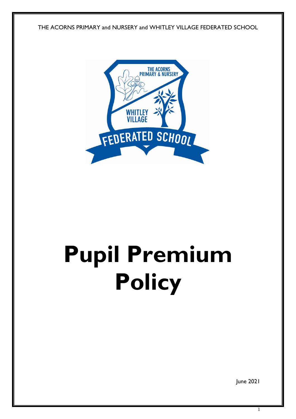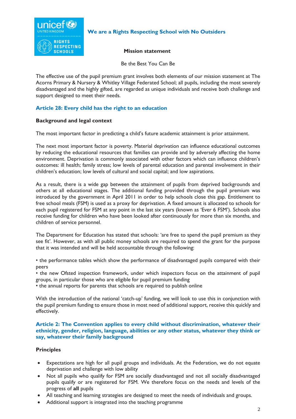

# **We are a Rights Respecting School with No Outsiders**

## **Mission statement**

Be the Best You Can Be

The effective use of the pupil premium grant involves both elements of our mission statement at The Acorns Primary & Nursery & Whitley Village Federated School; all pupils, including the most severely disadvantaged and the highly gifted, are regarded as unique individuals and receive both challenge and support designed to meet their needs.

# **Article 28: Every child has the right to an education**

## **Background and legal context**

The most important factor in predicting a child's future academic attainment is prior attainment.

The next most important factor is poverty. Material deprivation can influence educational outcomes by reducing the educational resources that families can provide and by adversely affecting the home environment. Deprivation is commonly associated with other factors which can influence children's outcomes: ill health; family stress; low levels of parental education and parental involvement in their children's education; low levels of cultural and social capital; and low aspirations.

As a result, there is a wide gap between the attainment of pupils from deprived backgrounds and others at all educational stages. The additional funding provided through the pupil premium was introduced by the government in April 2011 in order to help schools close this gap. Entitlement to free school meals (FSM) is used as a proxy for deprivation. A fixed amount is allocated to schools for each pupil registered for FSM at any point in the last six years (known as 'Ever 6 FSM'). Schools also receive funding for children who have been looked after continuously for more than six months, and children of service personnel.

The Department for Education has stated that schools: 'are free to spend the pupil premium as they see fit'. However, as with all public money schools are required to spend the grant for the purpose that it was intended and will be held accountable through the following:

• the performance tables which show the performance of disadvantaged pupils compared with their peers

• the new Ofsted inspection framework, under which inspectors focus on the attainment of pupil groups, in particular those who are eligible for pupil premium funding

• the annual reports for parents that schools are required to publish online

With the introduction of the national 'catch-up' funding, we will look to use this in conjunction with the pupil premium funding to ensure those in most need of additional support, receive this quickly and effectively.

#### **Article 2: The Convention applies to every child without discrimination, whatever their ethnicity, gender, religion, language, abilities or any other status, whatever they think or say, whatever their family background**

## **Principles**

- Expectations are high for all pupil groups and individuals. At the Federation, we do not equate deprivation and challenge with low ability
- Not all pupils who qualify for FSM are socially disadvantaged and not all socially disadvantaged pupils qualify or are registered for FSM. We therefore focus on the needs and levels of the progress of **all** pupils
- All teaching and learning strategies are designed to meet the needs of individuals and groups.
- Additional support is integrated into the teaching programme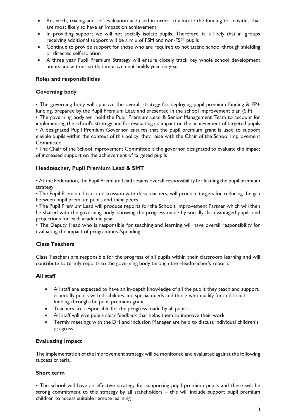- Research, trialing and self-evaluation are used in order to allocate the funding to activities that are most likely to have an impact on achievement
- In providing support we will not socially isolate pupils. Therefore, it is likely that all groups receiving additional support will be a mix of FSM and non-FSM pupils
- Continue to provide support for those who are required to not attend school through shielding or directed self-isolation
- A three year Pupil Premium Strategy will ensure closely track key whole school development points and actions so that improvement builds year on year

## **Roles and responsibilities**

#### **Governing body**

• The governing body will approve the overall strategy for deploying pupil premium funding & PP+ funding, prepared by the Pupil Premium Lead and presented in the school improvement plan (SIP)

• The governing body will hold the Pupil Premium Lead & Senior Management Team to account for implementing the school's strategy and for evaluating its impact on the achievement of targeted pupils • A designated Pupil Premium Governor ensures that the pupil premium grant is used to support eligible pupils within the context of this policy; they liaise with the Chair of the School Improvement **Committee** 

• The Chair of the School Improvement Committee is the governor designated to evaluate the impact of increased support on the achievement of targeted pupils

#### **Headteacher, Pupil Premium Lead & SMT**

• At the Federation, the Pupil Premium Lead retains overall responsibility for leading the pupil premium strategy

• The Pupil Premium Lead, in discussion with class teachers, will produce targets for reducing the gap between pupil premium pupils and their peers

• The Pupil Premium Lead will produce reports for the Schools Improvement Partner which will then be shared with the governing body, showing the progress made by socially disadvantaged pupils and projections for each academic year

• The Deputy Head who is responsible for teaching and learning will have overall responsibility for evaluating the impact of programmes /spending

## **Class Teachers**

Class Teachers are responsible for the progress of all pupils within their classroom learning and will contribute to termly reports to the governing body through the Headteacher's reports.

## **All staff**

- All staff are expected to have an in-depth knowledge of all the pupils they teach and support, especially pupils with disabilities and special needs and those who qualify for additional funding through the pupil premium grant
- Teachers are responsible for the progress made by all pupils
- All staff will give pupils clear feedback that helps them to improve their work
- Termly meetings with the DH and Inclusion Manager are held to discuss individual children's progress

#### **Evaluating Impact**

The implementation of the improvement strategy will be monitored and evaluated against the following success criteria.

#### **Short term**

• The school will have an effective strategy for supporting pupil premium pupils and there will be strong commitment to this strategy by all stakeholders – this will include support pupil premium children to access suitable remote learning